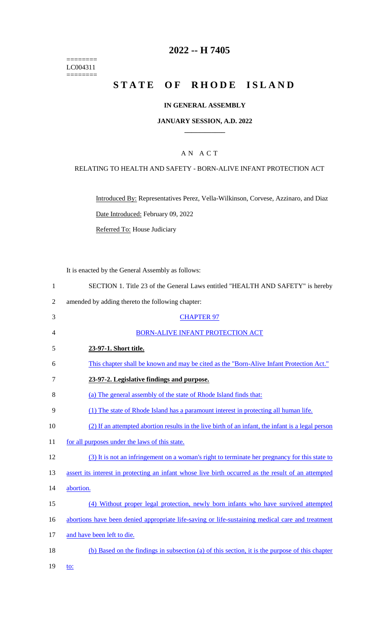======== LC004311  $=$ 

# **2022 -- H 7405**

# **STATE OF RHODE ISLAND**

### **IN GENERAL ASSEMBLY**

#### **JANUARY SESSION, A.D. 2022 \_\_\_\_\_\_\_\_\_\_\_\_**

### A N A C T

### RELATING TO HEALTH AND SAFETY - BORN-ALIVE INFANT PROTECTION ACT

Introduced By: Representatives Perez, Vella-Wilkinson, Corvese, Azzinaro, and Diaz Date Introduced: February 09, 2022

Referred To: House Judiciary

It is enacted by the General Assembly as follows:

| SECTION 1. Title 23 of the General Laws entitled "HEALTH AND SAFETY" is hereby |
|--------------------------------------------------------------------------------|
|--------------------------------------------------------------------------------|

2 amended by adding thereto the following chapter:

| 3  | <b>CHAPTER 97</b>                                                                                   |
|----|-----------------------------------------------------------------------------------------------------|
| 4  | <b>BORN-ALIVE INFANT PROTECTION ACT</b>                                                             |
| 5  | 23-97-1. Short title.                                                                               |
| 6  | This chapter shall be known and may be cited as the "Born-Alive Infant Protection Act."             |
| 7  | 23-97-2. Legislative findings and purpose.                                                          |
| 8  | (a) The general assembly of the state of Rhode Island finds that:                                   |
| 9  | (1) The state of Rhode Island has a paramount interest in protecting all human life.                |
| 10 | (2) If an attempted abortion results in the live birth of an infant, the infant is a legal person   |
| 11 | for all purposes under the laws of this state.                                                      |
| 12 | (3) It is not an infringement on a woman's right to terminate her pregnancy for this state to       |
| 13 | assert its interest in protecting an infant whose live birth occurred as the result of an attempted |
| 14 | abortion.                                                                                           |
| 15 | (4) Without proper legal protection, newly born infants who have survived attempted                 |
| 16 | abortions have been denied appropriate life-saving or life-sustaining medical care and treatment    |
| 17 | and have been left to die.                                                                          |
| 18 | (b) Based on the findings in subsection (a) of this section, it is the purpose of this chapter      |
| 19 | to:                                                                                                 |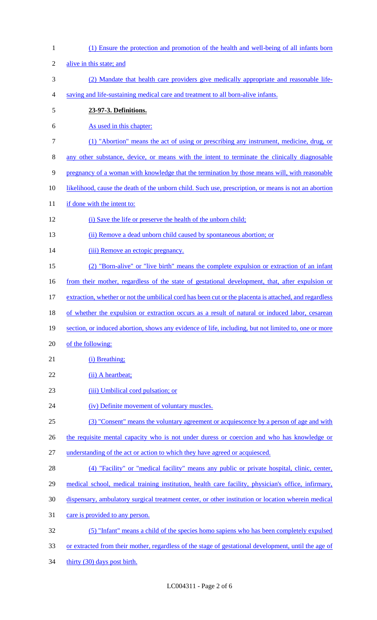| $\mathbf{1}$   | (1) Ensure the protection and promotion of the health and well-being of all infants born               |
|----------------|--------------------------------------------------------------------------------------------------------|
| $\overline{2}$ | alive in this state; and                                                                               |
| 3              | (2) Mandate that health care providers give medically appropriate and reasonable life-                 |
| 4              | saving and life-sustaining medical care and treatment to all born-alive infants.                       |
| $\mathfrak s$  | 23-97-3. Definitions.                                                                                  |
| 6              | As used in this chapter:                                                                               |
| $\overline{7}$ | (1) "Abortion" means the act of using or prescribing any instrument, medicine, drug, or                |
| 8              | any other substance, device, or means with the intent to terminate the clinically diagnosable          |
| 9              | pregnancy of a woman with knowledge that the termination by those means will, with reasonable          |
| 10             | likelihood, cause the death of the unborn child. Such use, prescription, or means is not an abortion   |
| 11             | if done with the intent to:                                                                            |
| 12             | (i) Save the life or preserve the health of the unborn child;                                          |
| 13             | (ii) Remove a dead unborn child caused by spontaneous abortion; or                                     |
| 14             | (iii) Remove an ectopic pregnancy.                                                                     |
| 15             | (2) "Born-alive" or "live birth" means the complete expulsion or extraction of an infant               |
| 16             | from their mother, regardless of the state of gestational development, that, after expulsion or        |
| 17             | extraction, whether or not the umbilical cord has been cut or the placenta is attached, and regardless |
| 18             | of whether the expulsion or extraction occurs as a result of natural or induced labor, cesarean        |
| 19             | section, or induced abortion, shows any evidence of life, including, but not limited to, one or more   |
| 20             | of the following:                                                                                      |
| 21             | (i) Breathing;                                                                                         |
| 22             | (ii) A heartbeat;                                                                                      |
| 23             | (iii) Umbilical cord pulsation; or                                                                     |
| 24             | (iv) Definite movement of voluntary muscles.                                                           |
| 25             | (3) "Consent" means the voluntary agreement or acquiescence by a person of age and with                |
| 26             | the requisite mental capacity who is not under duress or coercion and who has knowledge or             |
| 27             | understanding of the act or action to which they have agreed or acquiesced.                            |
| 28             | (4) "Facility" or "medical facility" means any public or private hospital, clinic, center,             |
| 29             | medical school, medical training institution, health care facility, physician's office, infirmary,     |
| 30             | dispensary, ambulatory surgical treatment center, or other institution or location wherein medical     |
| 31             | care is provided to any person.                                                                        |
| 32             | (5) "Infant" means a child of the species homo sapiens who has been completely expulsed                |
| 33             | or extracted from their mother, regardless of the stage of gestational development, until the age of   |
| 34             | thirty (30) days post birth.                                                                           |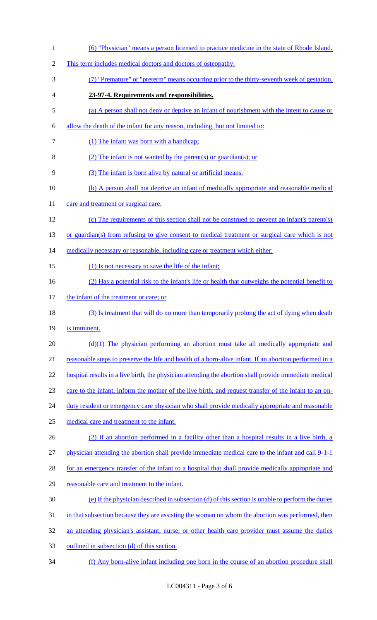| $\mathbf{1}$   | (6) "Physician" means a person licensed to practice medicine in the state of Rhode Island.             |
|----------------|--------------------------------------------------------------------------------------------------------|
| $\overline{2}$ | This term includes medical doctors and doctors of osteopathy.                                          |
| 3              | (7) "Premature" or "preterm" means occurring prior to the thirty-seventh week of gestation.            |
| 4              | 23-97-4. Requirements and responsibilities.                                                            |
| 5              | (a) A person shall not deny or deprive an infant of nourishment with the intent to cause or            |
| 6              | allow the death of the infant for any reason, including, but not limited to:                           |
| 7              | (1) The infant was born with a handicap;                                                               |
| 8              | (2) The infant is not wanted by the parent(s) or guardian(s); or                                       |
| 9              | (3) The infant is born alive by natural or artificial means.                                           |
| 10             | (b) A person shall not deprive an infant of medically appropriate and reasonable medical               |
| 11             | care and treatment or surgical care.                                                                   |
| 12             | (c) The requirements of this section shall not be construed to prevent an infant's parent(s)           |
| 13             | or guardian(s) from refusing to give consent to medical treatment or surgical care which is not        |
| 14             | medically necessary or reasonable, including care or treatment which either:                           |
| 15             | (1) Is not necessary to save the life of the infant;                                                   |
| 16             | (2) Has a potential risk to the infant's life or health that outweighs the potential benefit to        |
| 17             | the infant of the treatment or care; or                                                                |
| 18             | (3) Is treatment that will do no more than temporarily prolong the act of dying when death             |
| 19             | is imminent.                                                                                           |
| 20             | $(d)(1)$ The physician performing an abortion must take all medically appropriate and                  |
| 21             | reasonable steps to preserve the life and health of a born-alive infant. If an abortion performed in a |
| 22             | hospital results in a live birth, the physician attending the abortion shall provide immediate medical |
| 23             | care to the infant, inform the mother of the live birth, and request transfer of the infant to an on-  |
| 24             | duty resident or emergency care physician who shall provide medically appropriate and reasonable       |
| 25             | medical care and treatment to the infant.                                                              |
| 26             | (2) If an abortion performed in a facility other than a hospital results in a live birth, a            |
| 27             | physician attending the abortion shall provide immediate medical care to the infant and call 9-1-1     |
| 28             | for an emergency transfer of the infant to a hospital that shall provide medically appropriate and     |
| 29             | reasonable care and treatment to the infant.                                                           |
| 30             | (e) If the physician described in subsection (d) of this section is unable to perform the duties       |
| 31             | in that subsection because they are assisting the woman on whom the abortion was performed, then       |
| 32             | an attending physician's assistant, nurse, or other health care provider must assume the duties        |
| 33             | outlined in subsection (d) of this section.                                                            |
| 34             | (f) Any born-alive infant including one born in the course of an abortion procedure shall              |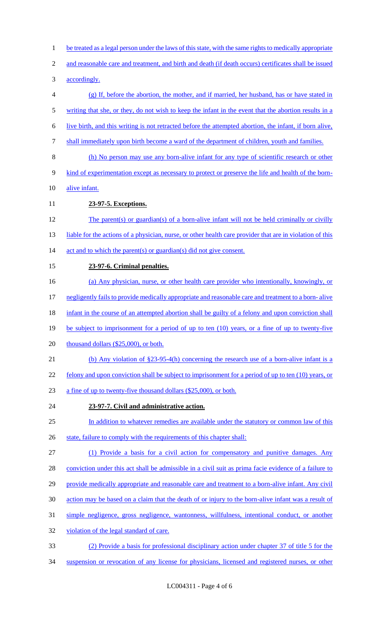- be treated as a legal person under the laws of this state, with the same rights to medically appropriate
- and reasonable care and treatment, and birth and death (if death occurs) certificates shall be issued
- accordingly.
- (g) If, before the abortion, the mother, and if married, her husband, has or have stated in 5 writing that she, or they, do not wish to keep the infant in the event that the abortion results in a live birth, and this writing is not retracted before the attempted abortion, the infant, if born alive,
- shall immediately upon birth become a ward of the department of children, youth and families.
- (h) No person may use any born-alive infant for any type of scientific research or other
- kind of experimentation except as necessary to protect or preserve the life and health of the born-
- alive infant.
- **23-97-5. Exceptions.**
- The parent(s) or guardian(s) of a born-alive infant will not be held criminally or civilly 13 liable for the actions of a physician, nurse, or other health care provider that are in violation of this 14 act and to which the parent(s) or guardian(s) did not give consent.
- **23-97-6. Criminal penalties.**
- (a) Any physician, nurse, or other health care provider who intentionally, knowingly, or
- negligently fails to provide medically appropriate and reasonable care and treatment to a born- alive
- 18 infant in the course of an attempted abortion shall be guilty of a felony and upon conviction shall
- 19 be subject to imprisonment for a period of up to ten (10) years, or a fine of up to twenty-five
- 20 thousand dollars (\$25,000), or both.
- (b) Any violation of §23-95-4(h) concerning the research use of a born-alive infant is a
- 22 felony and upon conviction shall be subject to imprisonment for a period of up to ten (10) years, or
- a fine of up to twenty-five thousand dollars (\$25,000), or both.
- **23-97-7. Civil and administrative action.**
- 25 In addition to whatever remedies are available under the statutory or common law of this
- 26 state, failure to comply with the requirements of this chapter shall:
- (1) Provide a basis for a civil action for compensatory and punitive damages. Any
- conviction under this act shall be admissible in a civil suit as prima facie evidence of a failure to
- 29 provide medically appropriate and reasonable care and treatment to a born-alive infant. Any civil
- action may be based on a claim that the death of or injury to the born-alive infant was a result of
- simple negligence, gross negligence, wantonness, willfulness, intentional conduct, or another
- violation of the legal standard of care.
- (2) Provide a basis for professional disciplinary action under chapter 37 of title 5 for the
- suspension or revocation of any license for physicians, licensed and registered nurses, or other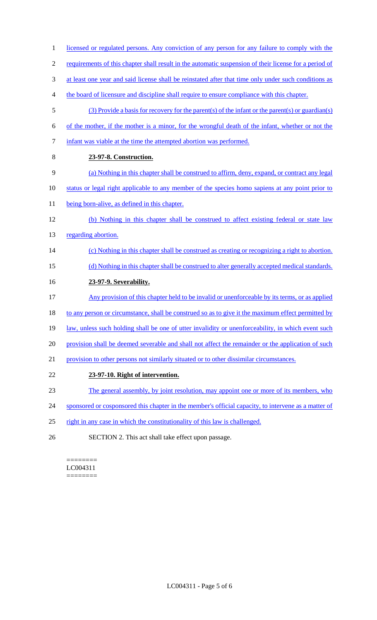- 1 licensed or regulated persons. Any conviction of any person for any failure to comply with the 2 requirements of this chapter shall result in the automatic suspension of their license for a period of 3 at least one year and said license shall be reinstated after that time only under such conditions as 4 the board of licensure and discipline shall require to ensure compliance with this chapter. 5 (3) Provide a basis for recovery for the parent(s) of the infant or the parent(s) or guardian(s) 6 of the mother, if the mother is a minor, for the wrongful death of the infant, whether or not the 7 infant was viable at the time the attempted abortion was performed. 8 **23-97-8. Construction.**  9 (a) Nothing in this chapter shall be construed to affirm, deny, expand, or contract any legal 10 status or legal right applicable to any member of the species homo sapiens at any point prior to 11 being born-alive, as defined in this chapter. 12 (b) Nothing in this chapter shall be construed to affect existing federal or state law 13 regarding abortion. 14 (c) Nothing in this chapter shall be construed as creating or recognizing a right to abortion. 15 (d) Nothing in this chapter shall be construed to alter generally accepted medical standards. 16 **23-97-9. Severability.**  17 Any provision of this chapter held to be invalid or unenforceable by its terms, or as applied 18 to any person or circumstance, shall be construed so as to give it the maximum effect permitted by 19 law, unless such holding shall be one of utter invalidity or unenforceability, in which event such 20 provision shall be deemed severable and shall not affect the remainder or the application of such 21 provision to other persons not similarly situated or to other dissimilar circumstances. 22 **23-97-10. Right of intervention.**  23 The general assembly, by joint resolution, may appoint one or more of its members, who 24 sponsored or cosponsored this chapter in the member's official capacity, to intervene as a matter of
- 25 right in any case in which the constitutionality of this law is challenged.
- 26 SECTION 2. This act shall take effect upon passage.

#### ======== LC004311 ========